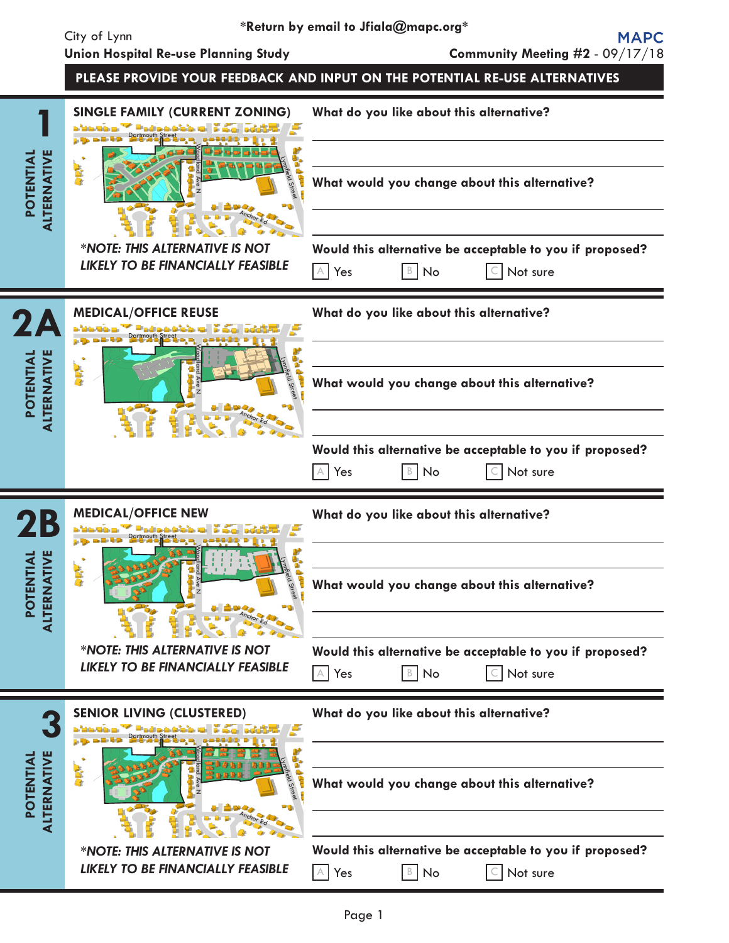**POTENTIAL ALTERNATIVE**

**1**

主身



|                                                        | <b>LIKELY TO BE FINANCIALLY FEASIBLE</b>                                   | $\mathbb{B}$ No<br>Not sure<br>Yes<br>$\subset$                                                                |
|--------------------------------------------------------|----------------------------------------------------------------------------|----------------------------------------------------------------------------------------------------------------|
| 2A                                                     | <b>MEDICAL/OFFICE REUSE</b>                                                | What do you like about this alternative?                                                                       |
| <b>POTENTIAL<br/>ALTERNATIVE</b>                       | 主席                                                                         | What would you change about this alternative?                                                                  |
|                                                        |                                                                            | Would this alternative be acceptable to you if proposed?<br>$\mathbb{A}$ Yes<br>$B \mid No$<br>Not sure<br>C I |
| <b>2B</b>                                              | <b>MEDICAL/OFFICE NEW</b>                                                  | What do you like about this alternative?                                                                       |
| <b>POTENTIAL<br/>ALTERNATIVE</b>                       | <b>REP</b><br>mmfield Stre                                                 | What would you change about this alternative?                                                                  |
|                                                        | *NOTE: THIS ALTERNATIVE IS NOT<br><b>LIKELY TO BE FINANCIALLY FEASIBLE</b> | Would this alternative be acceptable to you if proposed?<br>$\mathsf{B}$<br>No<br>Not sure<br>Yes              |
|                                                        | <b>SENIOR LIVING (CLUSTERED)</b><br>F                                      | What do you like about this alternative?                                                                       |
| <b>NATIVE</b><br>ENTIAL<br><b>POL</b><br><b>ALTERN</b> | 主席                                                                         | What would you change about this alternative?                                                                  |
|                                                        | *NOTE: THIS ALTERNATIVE IS NOT<br><b>LIKELY TO BE FINANCIALLY FEASIBLE</b> | Would this alternative be acceptable to you if proposed?<br>$A$ Yes<br>$\mathbb{B}$ No<br>Not sure             |